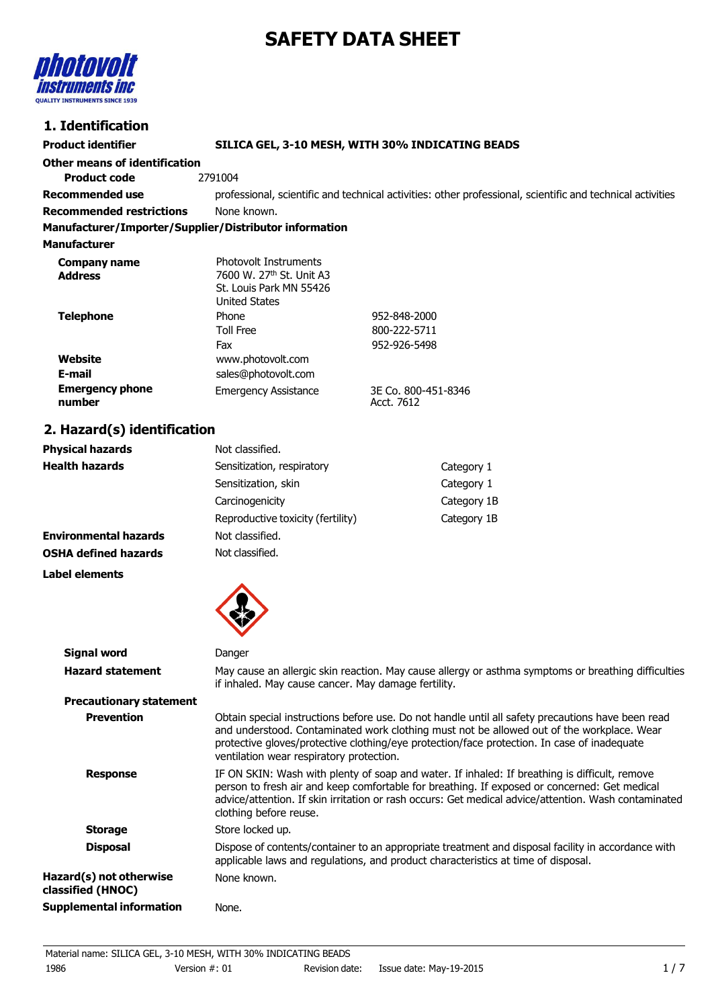# **SAFETY DATA SHEET**



# **1. Identification**

| 1. IUCHUIKAUVII                                        |                                                                                                                                                                                                                                                                                               |                                   |  |
|--------------------------------------------------------|-----------------------------------------------------------------------------------------------------------------------------------------------------------------------------------------------------------------------------------------------------------------------------------------------|-----------------------------------|--|
| <b>Product identifier</b>                              | SILICA GEL, 3-10 MESH, WITH 30% INDICATING BEADS                                                                                                                                                                                                                                              |                                   |  |
| <b>Other means of identification</b>                   |                                                                                                                                                                                                                                                                                               |                                   |  |
| <b>Product code</b>                                    | 2791004                                                                                                                                                                                                                                                                                       |                                   |  |
| <b>Recommended use</b>                                 | professional, scientific and technical activities: other professional, scientific and technical activities                                                                                                                                                                                    |                                   |  |
| <b>Recommended restrictions</b>                        | None known.                                                                                                                                                                                                                                                                                   |                                   |  |
| Manufacturer/Importer/Supplier/Distributor information |                                                                                                                                                                                                                                                                                               |                                   |  |
| <b>Manufacturer</b>                                    |                                                                                                                                                                                                                                                                                               |                                   |  |
| <b>Company name</b><br><b>Address</b>                  | Photovolt Instruments<br>7600 W. 27th St. Unit A3<br>St. Louis Park MN 55426<br><b>United States</b>                                                                                                                                                                                          |                                   |  |
| <b>Telephone</b>                                       | Phone                                                                                                                                                                                                                                                                                         | 952-848-2000                      |  |
|                                                        | <b>Toll Free</b>                                                                                                                                                                                                                                                                              | 800-222-5711                      |  |
|                                                        | Fax                                                                                                                                                                                                                                                                                           | 952-926-5498                      |  |
| Website<br>E-mail                                      | www.photovolt.com                                                                                                                                                                                                                                                                             |                                   |  |
|                                                        | sales@photovolt.com                                                                                                                                                                                                                                                                           |                                   |  |
| <b>Emergency phone</b><br>number                       | <b>Emergency Assistance</b>                                                                                                                                                                                                                                                                   | 3E Co. 800-451-8346<br>Acct. 7612 |  |
| 2. Hazard(s) identification                            |                                                                                                                                                                                                                                                                                               |                                   |  |
| <b>Physical hazards</b>                                | Not classified.                                                                                                                                                                                                                                                                               |                                   |  |
| <b>Health hazards</b>                                  | Sensitization, respiratory                                                                                                                                                                                                                                                                    | Category 1                        |  |
|                                                        | Sensitization, skin                                                                                                                                                                                                                                                                           | Category 1                        |  |
|                                                        | Carcinogenicity                                                                                                                                                                                                                                                                               | Category 1B                       |  |
|                                                        | Reproductive toxicity (fertility)                                                                                                                                                                                                                                                             | Category 1B                       |  |
| <b>Environmental hazards</b>                           | Not classified.                                                                                                                                                                                                                                                                               |                                   |  |
| <b>OSHA defined hazards</b>                            | Not classified.                                                                                                                                                                                                                                                                               |                                   |  |
| <b>Label elements</b>                                  |                                                                                                                                                                                                                                                                                               |                                   |  |
| <b>Signal word</b>                                     | Danger                                                                                                                                                                                                                                                                                        |                                   |  |
| <b>Hazard statement</b>                                |                                                                                                                                                                                                                                                                                               |                                   |  |
|                                                        | May cause an allergic skin reaction. May cause allergy or asthma symptoms or breathing difficulties<br>if inhaled. May cause cancer. May damage fertility.                                                                                                                                    |                                   |  |
| <b>Precautionary statement</b>                         |                                                                                                                                                                                                                                                                                               |                                   |  |
| <b>Prevention</b>                                      | Obtain special instructions before use. Do not handle until all safety precautions have been read<br>and understood. Contaminated work clothing must not be allowed out of the workplace. Wear<br>protective gloves/protective clothing/eye protection/face protection. In case of inadequate |                                   |  |

| <b>Response</b>                              | IF ON SKIN: Wash with plenty of soap and water. If inhaled: If breathing is difficult, remove<br>person to fresh air and keep comfortable for breathing. If exposed or concerned: Get medical<br>advice/attention. If skin irritation or rash occurs: Get medical advice/attention. Wash contaminated<br>clothing before reuse. |
|----------------------------------------------|---------------------------------------------------------------------------------------------------------------------------------------------------------------------------------------------------------------------------------------------------------------------------------------------------------------------------------|
| <b>Storage</b>                               | Store locked up.                                                                                                                                                                                                                                                                                                                |
| <b>Disposal</b>                              | Dispose of contents/container to an appropriate treatment and disposal facility in accordance with<br>applicable laws and regulations, and product characteristics at time of disposal.                                                                                                                                         |
| Hazard(s) not otherwise<br>classified (HNOC) | None known.                                                                                                                                                                                                                                                                                                                     |

**Supplemental information** None.

ventilation wear respiratory protection.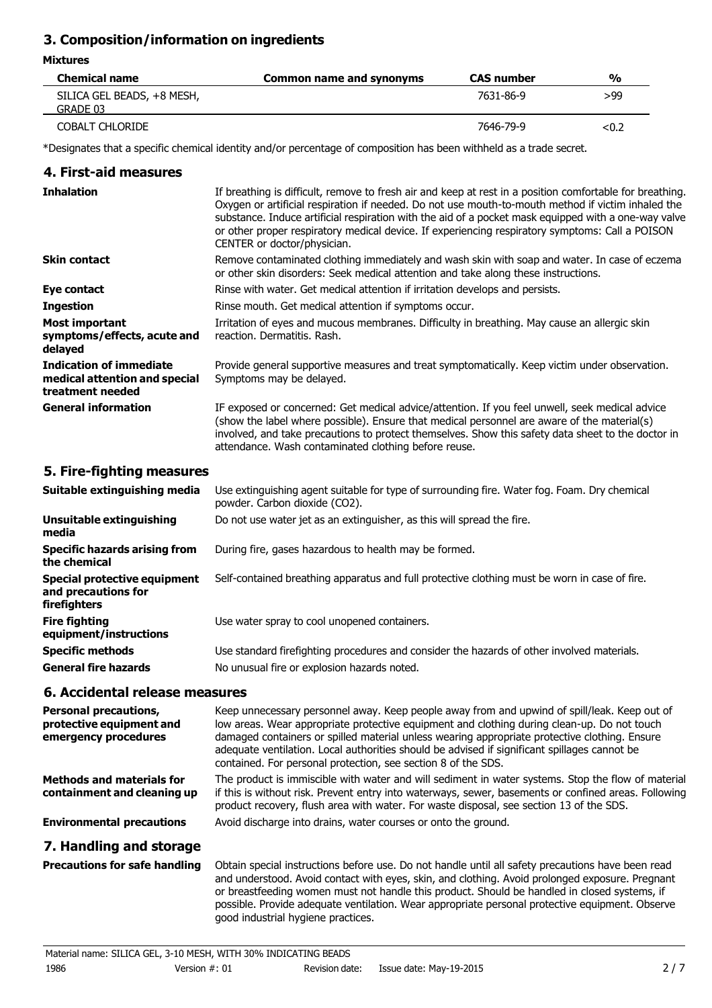# **3. Composition/information on ingredients**

## **Mixtures**

 $\overline{a}$ 

| <b>Chemical name</b>       | Common name and synonyms | <b>CAS number</b> | $\frac{1}{2}$ |
|----------------------------|--------------------------|-------------------|---------------|
| SILICA GEL BEADS, +8 MESH, |                          | 7631-86-9         | >99           |
| GRADE 03                   |                          |                   |               |
| <b>COBALT CHLORIDE</b>     |                          | 7646-79-9         | < 0.2         |

\*Designates that a specific chemical identity and/or percentage of composition has been withheld as a trade secret.

## **4. First-aid measures**

| <b>Inhalation</b>                                                                   | If breathing is difficult, remove to fresh air and keep at rest in a position comfortable for breathing.<br>Oxygen or artificial respiration if needed. Do not use mouth-to-mouth method if victim inhaled the<br>substance. Induce artificial respiration with the aid of a pocket mask equipped with a one-way valve<br>or other proper respiratory medical device. If experiencing respiratory symptoms: Call a POISON<br>CENTER or doctor/physician. |
|-------------------------------------------------------------------------------------|----------------------------------------------------------------------------------------------------------------------------------------------------------------------------------------------------------------------------------------------------------------------------------------------------------------------------------------------------------------------------------------------------------------------------------------------------------|
| <b>Skin contact</b>                                                                 | Remove contaminated clothing immediately and wash skin with soap and water. In case of eczema<br>or other skin disorders: Seek medical attention and take along these instructions.                                                                                                                                                                                                                                                                      |
| Eye contact                                                                         | Rinse with water. Get medical attention if irritation develops and persists.                                                                                                                                                                                                                                                                                                                                                                             |
| <b>Ingestion</b>                                                                    | Rinse mouth. Get medical attention if symptoms occur.                                                                                                                                                                                                                                                                                                                                                                                                    |
| Most important<br>symptoms/effects, acute and<br>delayed                            | Irritation of eyes and mucous membranes. Difficulty in breathing. May cause an allergic skin<br>reaction. Dermatitis. Rash.                                                                                                                                                                                                                                                                                                                              |
| <b>Indication of immediate</b><br>medical attention and special<br>treatment needed | Provide general supportive measures and treat symptomatically. Keep victim under observation.<br>Symptoms may be delayed.                                                                                                                                                                                                                                                                                                                                |
| <b>General information</b>                                                          | IF exposed or concerned: Get medical advice/attention. If you feel unwell, seek medical advice<br>(show the label where possible). Ensure that medical personnel are aware of the material(s)<br>involved, and take precautions to protect themselves. Show this safety data sheet to the doctor in<br>attendance. Wash contaminated clothing before reuse.                                                                                              |

# **5. Fire-fighting measures**

| Suitable extinguishing media                                               | Use extinguishing agent suitable for type of surrounding fire. Water fog. Foam. Dry chemical<br>powder. Carbon dioxide (CO2). |
|----------------------------------------------------------------------------|-------------------------------------------------------------------------------------------------------------------------------|
| Unsuitable extinguishing<br>media                                          | Do not use water jet as an extinguisher, as this will spread the fire.                                                        |
| Specific hazards arising from<br>the chemical                              | During fire, gases hazardous to health may be formed.                                                                         |
| <b>Special protective equipment</b><br>and precautions for<br>firefighters | Self-contained breathing apparatus and full protective clothing must be worn in case of fire.                                 |
| <b>Fire fighting</b><br>equipment/instructions                             | Use water spray to cool unopened containers.                                                                                  |
| <b>Specific methods</b>                                                    | Use standard firefighting procedures and consider the hazards of other involved materials.                                    |
| <b>General fire hazards</b>                                                | No unusual fire or explosion hazards noted.                                                                                   |

## **6. Accidental release measures**

| <b>Personal precautions,</b><br>protective equipment and<br>emergency procedures | Keep unnecessary personnel away. Keep people away from and upwind of spill/leak. Keep out of<br>low areas. Wear appropriate protective equipment and clothing during clean-up. Do not touch<br>damaged containers or spilled material unless wearing appropriate protective clothing. Ensure<br>adequate ventilation. Local authorities should be advised if significant spillages cannot be<br>contained. For personal protection, see section 8 of the SDS. |
|----------------------------------------------------------------------------------|---------------------------------------------------------------------------------------------------------------------------------------------------------------------------------------------------------------------------------------------------------------------------------------------------------------------------------------------------------------------------------------------------------------------------------------------------------------|
| <b>Methods and materials for</b><br>containment and cleaning up                  | The product is immiscible with water and will sediment in water systems. Stop the flow of material<br>if this is without risk. Prevent entry into waterways, sewer, basements or confined areas. Following<br>product recovery, flush area with water. For waste disposal, see section 13 of the SDS.                                                                                                                                                         |
| <b>Environmental precautions</b>                                                 | Avoid discharge into drains, water courses or onto the ground.                                                                                                                                                                                                                                                                                                                                                                                                |
| 7. Handling and storage                                                          |                                                                                                                                                                                                                                                                                                                                                                                                                                                               |
| <b>Precautions for safe handling</b>                                             | Obtain special instructions before use. Do not handle until all safety precautions have been read<br>and understood. Avoid contact with eyes, skin, and clothing. Avoid prolonged exposure. Pregnant<br>or breastfeeding women must not handle this product. Should be handled in closed systems, if                                                                                                                                                          |

possible. Provide adequate ventilation. Wear appropriate personal protective equipment. Observe

good industrial hygiene practices.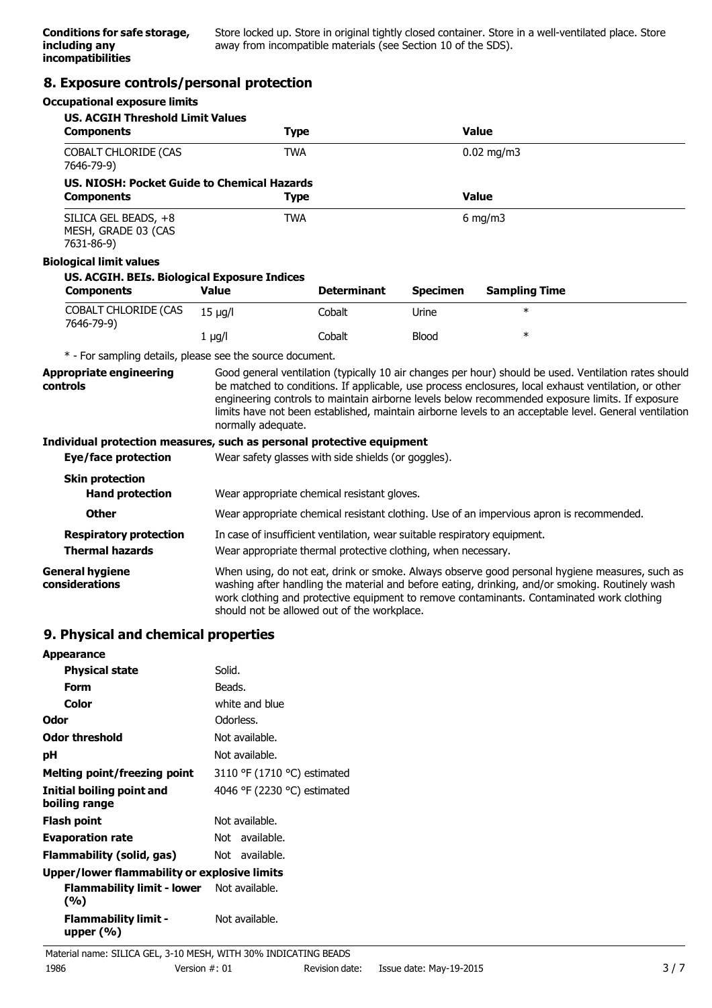Store locked up. Store in original tightly closed container. Store in a well-ventilated place. Store away from incompatible materials (see Section 10 of the SDS).

## **8. Exposure controls/personal protection**

#### **Occupational exposure limits**

| <b>US. ACGIH Threshold Limit Values</b>                               |                                                                                                                                                                                                                                                                                                                                               |                    |                 |                                                                                                                                                                                                                                                                                                                                                                                                                            |
|-----------------------------------------------------------------------|-----------------------------------------------------------------------------------------------------------------------------------------------------------------------------------------------------------------------------------------------------------------------------------------------------------------------------------------------|--------------------|-----------------|----------------------------------------------------------------------------------------------------------------------------------------------------------------------------------------------------------------------------------------------------------------------------------------------------------------------------------------------------------------------------------------------------------------------------|
| <b>Components</b>                                                     | <b>Type</b>                                                                                                                                                                                                                                                                                                                                   |                    |                 | <b>Value</b>                                                                                                                                                                                                                                                                                                                                                                                                               |
| COBALT CHLORIDE (CAS<br>7646-79-9)                                    | <b>TWA</b>                                                                                                                                                                                                                                                                                                                                    |                    |                 | $0.02$ mg/m3                                                                                                                                                                                                                                                                                                                                                                                                               |
| US, NIOSH: Pocket Guide to Chemical Hazards                           |                                                                                                                                                                                                                                                                                                                                               |                    |                 |                                                                                                                                                                                                                                                                                                                                                                                                                            |
| <b>Components</b>                                                     | <b>Type</b>                                                                                                                                                                                                                                                                                                                                   |                    |                 | <b>Value</b>                                                                                                                                                                                                                                                                                                                                                                                                               |
| SILICA GEL BEADS, +8<br>MESH, GRADE 03 (CAS<br>7631-86-9)             | <b>TWA</b>                                                                                                                                                                                                                                                                                                                                    |                    |                 | $6$ mg/m $3$                                                                                                                                                                                                                                                                                                                                                                                                               |
| <b>Biological limit values</b>                                        |                                                                                                                                                                                                                                                                                                                                               |                    |                 |                                                                                                                                                                                                                                                                                                                                                                                                                            |
| US. ACGIH. BEIs. Biological Exposure Indices<br><b>Components</b>     | <b>Value</b>                                                                                                                                                                                                                                                                                                                                  | <b>Determinant</b> | <b>Specimen</b> | <b>Sampling Time</b>                                                                                                                                                                                                                                                                                                                                                                                                       |
| <b>COBALT CHLORIDE (CAS</b><br>7646-79-9)                             | $15 \mu g/l$                                                                                                                                                                                                                                                                                                                                  | Cobalt             | Urine           | $\ast$                                                                                                                                                                                                                                                                                                                                                                                                                     |
|                                                                       | $1$ µg/l                                                                                                                                                                                                                                                                                                                                      | Cobalt             | Blood           | $\ast$                                                                                                                                                                                                                                                                                                                                                                                                                     |
| * - For sampling details, please see the source document.             |                                                                                                                                                                                                                                                                                                                                               |                    |                 |                                                                                                                                                                                                                                                                                                                                                                                                                            |
| <b>Appropriate engineering</b><br>controls                            | normally adequate.                                                                                                                                                                                                                                                                                                                            |                    |                 | Good general ventilation (typically 10 air changes per hour) should be used. Ventilation rates should<br>be matched to conditions. If applicable, use process enclosures, local exhaust ventilation, or other<br>engineering controls to maintain airborne levels below recommended exposure limits. If exposure<br>limits have not been established, maintain airborne levels to an acceptable level. General ventilation |
| Individual protection measures, such as personal protective equipment |                                                                                                                                                                                                                                                                                                                                               |                    |                 |                                                                                                                                                                                                                                                                                                                                                                                                                            |
| <b>Eye/face protection</b>                                            | Wear safety glasses with side shields (or goggles).                                                                                                                                                                                                                                                                                           |                    |                 |                                                                                                                                                                                                                                                                                                                                                                                                                            |
| <b>Skin protection</b><br><b>Hand protection</b>                      | Wear appropriate chemical resistant gloves.                                                                                                                                                                                                                                                                                                   |                    |                 |                                                                                                                                                                                                                                                                                                                                                                                                                            |
| <b>Other</b>                                                          |                                                                                                                                                                                                                                                                                                                                               |                    |                 | Wear appropriate chemical resistant clothing. Use of an impervious apron is recommended.                                                                                                                                                                                                                                                                                                                                   |
| <b>Respiratory protection</b>                                         | In case of insufficient ventilation, wear suitable respiratory equipment.                                                                                                                                                                                                                                                                     |                    |                 |                                                                                                                                                                                                                                                                                                                                                                                                                            |
| <b>Thermal hazards</b>                                                | Wear appropriate thermal protective clothing, when necessary.                                                                                                                                                                                                                                                                                 |                    |                 |                                                                                                                                                                                                                                                                                                                                                                                                                            |
| <b>General hygiene</b><br>considerations                              | When using, do not eat, drink or smoke. Always observe good personal hygiene measures, such as<br>washing after handling the material and before eating, drinking, and/or smoking. Routinely wash<br>work clothing and protective equipment to remove contaminants. Contaminated work clothing<br>should not be allowed out of the workplace. |                    |                 |                                                                                                                                                                                                                                                                                                                                                                                                                            |

# **9. Physical and chemical properties**

| <b>Appearance</b>                                       |                             |
|---------------------------------------------------------|-----------------------------|
| <b>Physical state</b>                                   | Solid.                      |
| Form                                                    | Beads.                      |
| Color                                                   | white and blue              |
| Odor                                                    | Odorless.                   |
| <b>Odor threshold</b>                                   | Not available.              |
| рH                                                      | Not available.              |
| Melting point/freezing point                            | 3110 °F (1710 °C) estimated |
| Initial boiling point and<br>boiling range              | 4046 °F (2230 °C) estimated |
| <b>Flash point</b>                                      | Not available.              |
| <b>Evaporation rate</b>                                 | Not available.              |
| Flammability (solid, gas)                               | Not available.              |
| Upper/lower flammability or explosive limits            |                             |
| <b>Flammability limit - lower</b> Not available.<br>(%) |                             |
| <b>Flammability limit -</b><br>upper $(\% )$            | Not available.              |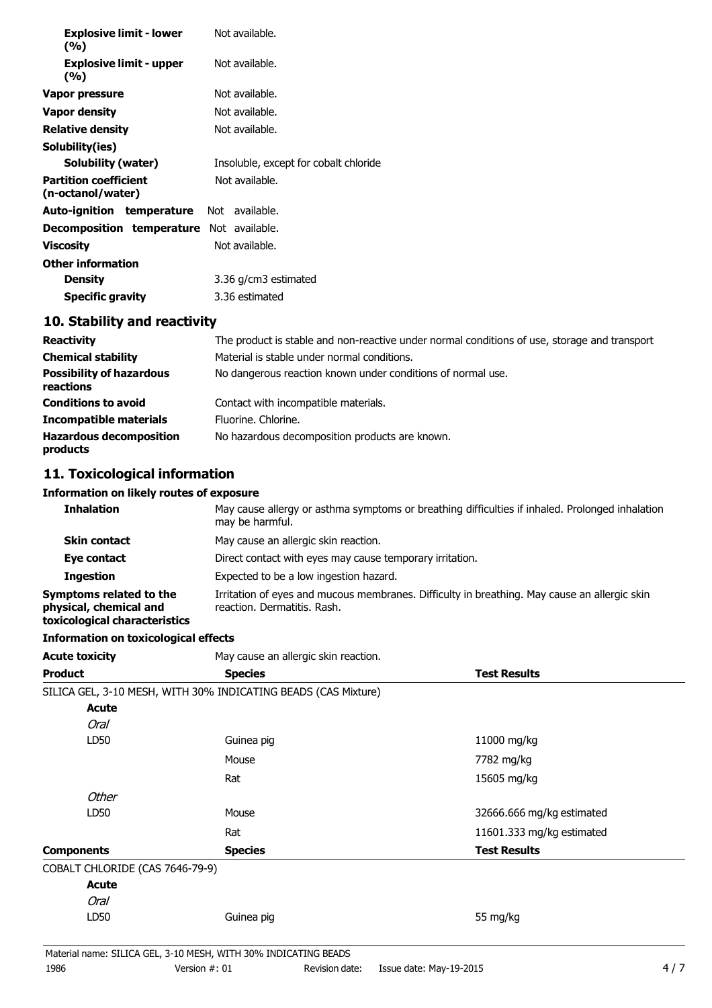| <b>Explosive limit - lower</b>                    | Not available.                        |
|---------------------------------------------------|---------------------------------------|
| (%)<br><b>Explosive limit - upper</b><br>(%)      | Not available.                        |
| Vapor pressure                                    | Not available.                        |
| <b>Vapor density</b>                              | Not available.                        |
| <b>Relative density</b>                           | Not available.                        |
| Solubility(ies)                                   |                                       |
| <b>Solubility (water)</b>                         | Insoluble, except for cobalt chloride |
| <b>Partition coefficient</b><br>(n-octanol/water) | Not available.                        |
| <b>Auto-ignition temperature</b> Not available.   |                                       |
| <b>Decomposition temperature</b> Not available.   |                                       |
| <b>Viscosity</b>                                  | Not available.                        |
| <b>Other information</b>                          |                                       |
| <b>Density</b>                                    | 3.36 g/cm3 estimated                  |
| <b>Specific gravity</b>                           | 3.36 estimated                        |

# **10. Stability and reactivity**

| <b>Reactivity</b>                            | The product is stable and non-reactive under normal conditions of use, storage and transport |  |
|----------------------------------------------|----------------------------------------------------------------------------------------------|--|
| <b>Chemical stability</b>                    | Material is stable under normal conditions.                                                  |  |
| <b>Possibility of hazardous</b><br>reactions | No dangerous reaction known under conditions of normal use.                                  |  |
| <b>Conditions to avoid</b>                   | Contact with incompatible materials.                                                         |  |
| <b>Incompatible materials</b>                | Fluorine. Chlorine.                                                                          |  |
| <b>Hazardous decomposition</b><br>products   | No hazardous decomposition products are known.                                               |  |

# **11. Toxicological information**

## **Information on likely routes of exposure**

| <b>Inhalation</b>                                                                  | May cause allergy or asthma symptoms or breathing difficulties if inhaled. Prolonged inhalation<br>may be harmful.          |
|------------------------------------------------------------------------------------|-----------------------------------------------------------------------------------------------------------------------------|
| <b>Skin contact</b>                                                                | May cause an allergic skin reaction.                                                                                        |
| Eye contact                                                                        | Direct contact with eyes may cause temporary irritation.                                                                    |
| <b>Ingestion</b>                                                                   | Expected to be a low ingestion hazard.                                                                                      |
| Symptoms related to the<br>physical, chemical and<br>toxicological characteristics | Irritation of eyes and mucous membranes. Difficulty in breathing. May cause an allergic skin<br>reaction. Dermatitis. Rash. |

## **Information on toxicological effects**

| <b>Acute toxicity</b>           | May cause an allergic skin reaction.                           |                           |
|---------------------------------|----------------------------------------------------------------|---------------------------|
| <b>Product</b>                  | <b>Species</b>                                                 | <b>Test Results</b>       |
|                                 | SILICA GEL, 3-10 MESH, WITH 30% INDICATING BEADS (CAS Mixture) |                           |
| <b>Acute</b>                    |                                                                |                           |
| <b>Oral</b>                     |                                                                |                           |
| LD50                            | Guinea pig                                                     | 11000 mg/kg               |
|                                 | Mouse                                                          | 7782 mg/kg                |
|                                 | Rat                                                            | 15605 mg/kg               |
| <b>Other</b>                    |                                                                |                           |
| LD50                            | Mouse                                                          | 32666.666 mg/kg estimated |
|                                 | Rat                                                            | 11601.333 mg/kg estimated |
| <b>Components</b>               | <b>Species</b>                                                 | <b>Test Results</b>       |
| COBALT CHLORIDE (CAS 7646-79-9) |                                                                |                           |
| <b>Acute</b>                    |                                                                |                           |
| <b>Oral</b>                     |                                                                |                           |
| LD50                            | Guinea pig                                                     | 55 mg/kg                  |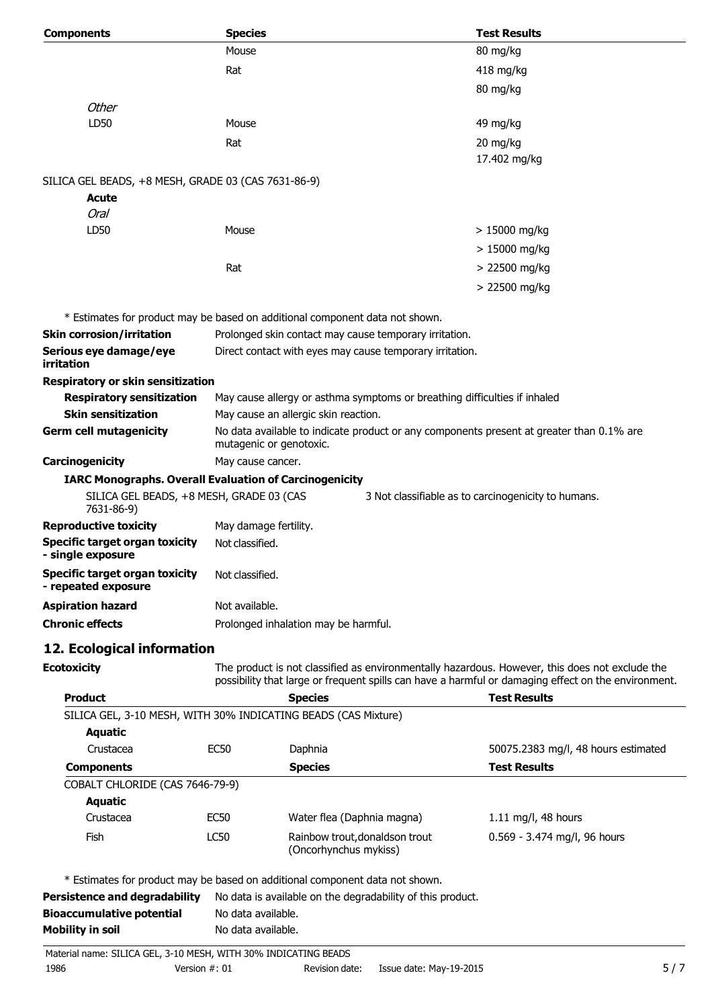| <b>Components</b>                                              | <b>Species</b>          |                                                                                          | <b>Test Results</b>                                                                                                                                                                                   |
|----------------------------------------------------------------|-------------------------|------------------------------------------------------------------------------------------|-------------------------------------------------------------------------------------------------------------------------------------------------------------------------------------------------------|
|                                                                | Mouse                   |                                                                                          | 80 mg/kg                                                                                                                                                                                              |
|                                                                | Rat                     |                                                                                          | 418 mg/kg                                                                                                                                                                                             |
|                                                                |                         |                                                                                          | 80 mg/kg                                                                                                                                                                                              |
| <b>Other</b>                                                   |                         |                                                                                          |                                                                                                                                                                                                       |
| LD50                                                           | Mouse                   |                                                                                          | 49 mg/kg                                                                                                                                                                                              |
|                                                                | Rat                     |                                                                                          | 20 mg/kg                                                                                                                                                                                              |
|                                                                |                         |                                                                                          | 17.402 mg/kg                                                                                                                                                                                          |
|                                                                |                         |                                                                                          |                                                                                                                                                                                                       |
| SILICA GEL BEADS, +8 MESH, GRADE 03 (CAS 7631-86-9)<br>Acute   |                         |                                                                                          |                                                                                                                                                                                                       |
| Oral                                                           |                         |                                                                                          |                                                                                                                                                                                                       |
| LD50                                                           | Mouse                   |                                                                                          | $>15000$ mg/kg                                                                                                                                                                                        |
|                                                                |                         |                                                                                          | $>15000$ mg/kg                                                                                                                                                                                        |
|                                                                | Rat                     |                                                                                          |                                                                                                                                                                                                       |
|                                                                |                         |                                                                                          | > 22500 mg/kg                                                                                                                                                                                         |
|                                                                |                         |                                                                                          | > 22500 mg/kg                                                                                                                                                                                         |
|                                                                |                         | * Estimates for product may be based on additional component data not shown.             |                                                                                                                                                                                                       |
| <b>Skin corrosion/irritation</b>                               |                         | Prolonged skin contact may cause temporary irritation.                                   |                                                                                                                                                                                                       |
| Serious eye damage/eye                                         |                         | Direct contact with eyes may cause temporary irritation.                                 |                                                                                                                                                                                                       |
| <b>irritation</b>                                              |                         |                                                                                          |                                                                                                                                                                                                       |
| <b>Respiratory or skin sensitization</b>                       |                         |                                                                                          |                                                                                                                                                                                                       |
| <b>Respiratory sensitization</b>                               |                         | May cause allergy or asthma symptoms or breathing difficulties if inhaled                |                                                                                                                                                                                                       |
| <b>Skin sensitization</b>                                      |                         | May cause an allergic skin reaction.                                                     |                                                                                                                                                                                                       |
| <b>Germ cell mutagenicity</b>                                  |                         | No data available to indicate product or any components present at greater than 0.1% are |                                                                                                                                                                                                       |
|                                                                | mutagenic or genotoxic. |                                                                                          |                                                                                                                                                                                                       |
| Carcinogenicity                                                | May cause cancer.       |                                                                                          |                                                                                                                                                                                                       |
| <b>IARC Monographs. Overall Evaluation of Carcinogenicity</b>  |                         |                                                                                          |                                                                                                                                                                                                       |
| SILICA GEL BEADS, +8 MESH, GRADE 03 (CAS<br>7631-86-9)         |                         |                                                                                          | 3 Not classifiable as to carcinogenicity to humans.                                                                                                                                                   |
| <b>Reproductive toxicity</b>                                   | May damage fertility.   |                                                                                          |                                                                                                                                                                                                       |
| <b>Specific target organ toxicity</b><br>- single exposure     | Not classified.         |                                                                                          |                                                                                                                                                                                                       |
| <b>Specific target organ toxicity</b><br>- repeated exposure   | Not classified.         |                                                                                          |                                                                                                                                                                                                       |
| <b>Aspiration hazard</b>                                       | Not available.          |                                                                                          |                                                                                                                                                                                                       |
| <b>Chronic effects</b>                                         |                         | Prolonged inhalation may be harmful.                                                     |                                                                                                                                                                                                       |
|                                                                |                         |                                                                                          |                                                                                                                                                                                                       |
| 12. Ecological information                                     |                         |                                                                                          |                                                                                                                                                                                                       |
| <b>Ecotoxicity</b>                                             |                         |                                                                                          | The product is not classified as environmentally hazardous. However, this does not exclude the<br>possibility that large or frequent spills can have a harmful or damaging effect on the environment. |
| <b>Product</b>                                                 |                         | <b>Species</b>                                                                           | <b>Test Results</b>                                                                                                                                                                                   |
| SILICA GEL, 3-10 MESH, WITH 30% INDICATING BEADS (CAS Mixture) |                         |                                                                                          |                                                                                                                                                                                                       |
| <b>Aquatic</b>                                                 |                         |                                                                                          |                                                                                                                                                                                                       |
| Crustacea                                                      | <b>EC50</b>             | Daphnia                                                                                  | 50075.2383 mg/l, 48 hours estimated                                                                                                                                                                   |
| <b>Components</b>                                              |                         | <b>Species</b>                                                                           | <b>Test Results</b>                                                                                                                                                                                   |
| COBALT CHLORIDE (CAS 7646-79-9)                                |                         |                                                                                          |                                                                                                                                                                                                       |
| <b>Aquatic</b>                                                 |                         |                                                                                          |                                                                                                                                                                                                       |
| Crustacea                                                      | <b>EC50</b>             | Water flea (Daphnia magna)                                                               | 1.11 mg/l, 48 hours                                                                                                                                                                                   |
| Fish                                                           | LC50                    | Rainbow trout, donaldson trout                                                           | 0.569 - 3.474 mg/l, 96 hours                                                                                                                                                                          |
|                                                                |                         | (Oncorhynchus mykiss)                                                                    |                                                                                                                                                                                                       |
|                                                                |                         |                                                                                          |                                                                                                                                                                                                       |

| Persistence and degradability    | No data is available on the degradability of this product. |
|----------------------------------|------------------------------------------------------------|
| <b>Bioaccumulative potential</b> | No data available.                                         |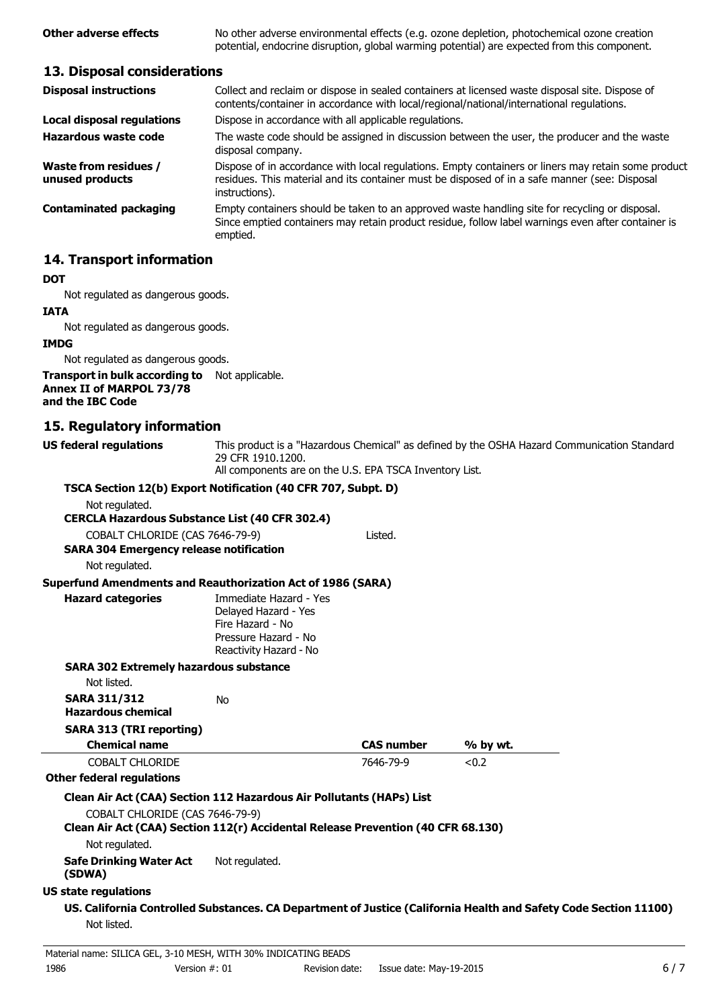**Other adverse effects** No other adverse environmental effects (e.g. ozone depletion, photochemical ozone creation potential, endocrine disruption, global warming potential) are expected from this component.

## **13. Disposal considerations**

| <b>Disposal instructions</b>             | Collect and reclaim or dispose in sealed containers at licensed waste disposal site. Dispose of<br>contents/container in accordance with local/regional/national/international regulations.                            |
|------------------------------------------|------------------------------------------------------------------------------------------------------------------------------------------------------------------------------------------------------------------------|
| <b>Local disposal regulations</b>        | Dispose in accordance with all applicable regulations.                                                                                                                                                                 |
| Hazardous waste code                     | The waste code should be assigned in discussion between the user, the producer and the waste<br>disposal company.                                                                                                      |
| Waste from residues /<br>unused products | Dispose of in accordance with local regulations. Empty containers or liners may retain some product<br>residues. This material and its container must be disposed of in a safe manner (see: Disposal<br>instructions). |
| <b>Contaminated packaging</b>            | Empty containers should be taken to an approved waste handling site for recycling or disposal.<br>Since emptied containers may retain product residue, follow label warnings even after container is<br>emptied.       |

## **14. Transport information**

#### **DOT**

Not regulated as dangerous goods.

#### **IATA**

Not regulated as dangerous goods.

#### **IMDG**

Not regulated as dangerous goods.

#### **Transport in bulk according to**  Not applicable. **Annex II of MARPOL 73/78 and the IBC Code**

## **15. Regulatory information**

**US federal regulations** This product is a "Hazardous Chemical" as defined by the OSHA Hazard Communication Standard 29 CFR 1910.1200.

All components are on the U.S. EPA TSCA Inventory List.

| TSCA Section 12(b) Export Notification (40 CFR 707, Subpt. D)                                                       |                                                                                                                      |                   |          |  |
|---------------------------------------------------------------------------------------------------------------------|----------------------------------------------------------------------------------------------------------------------|-------------------|----------|--|
| Not regulated.                                                                                                      |                                                                                                                      |                   |          |  |
| <b>CERCLA Hazardous Substance List (40 CFR 302.4)</b>                                                               |                                                                                                                      |                   |          |  |
| COBALT CHLORIDE (CAS 7646-79-9)                                                                                     |                                                                                                                      | Listed.           |          |  |
| <b>SARA 304 Emergency release notification</b>                                                                      |                                                                                                                      |                   |          |  |
| Not regulated.                                                                                                      |                                                                                                                      |                   |          |  |
| <b>Superfund Amendments and Reauthorization Act of 1986 (SARA)</b>                                                  |                                                                                                                      |                   |          |  |
| <b>Hazard categories</b>                                                                                            | Immediate Hazard - Yes<br>Delayed Hazard - Yes<br>Fire Hazard - No<br>Pressure Hazard - No<br>Reactivity Hazard - No |                   |          |  |
| <b>SARA 302 Extremely hazardous substance</b>                                                                       |                                                                                                                      |                   |          |  |
| Not listed.                                                                                                         |                                                                                                                      |                   |          |  |
| <b>SARA 311/312</b><br><b>Hazardous chemical</b>                                                                    | <b>No</b>                                                                                                            |                   |          |  |
| <b>SARA 313 (TRI reporting)</b>                                                                                     |                                                                                                                      |                   |          |  |
| <b>Chemical name</b>                                                                                                |                                                                                                                      | <b>CAS number</b> | % by wt. |  |
| <b>COBALT CHLORIDE</b>                                                                                              |                                                                                                                      | 7646-79-9         | < 0.2    |  |
| <b>Other federal regulations</b>                                                                                    |                                                                                                                      |                   |          |  |
| Clean Air Act (CAA) Section 112 Hazardous Air Pollutants (HAPs) List                                                |                                                                                                                      |                   |          |  |
| COBALT CHLORIDE (CAS 7646-79-9)<br>Clean Air Act (CAA) Section 112(r) Accidental Release Prevention (40 CFR 68.130) |                                                                                                                      |                   |          |  |
| Not regulated.                                                                                                      |                                                                                                                      |                   |          |  |
| <b>Safe Drinking Water Act</b><br>(SDWA)                                                                            | Not regulated.                                                                                                       |                   |          |  |
| <b>US state regulations</b>                                                                                         |                                                                                                                      |                   |          |  |
| US. California Controlled Substances. CA Department of Justice (California Health and Safety Code Section 11100)    |                                                                                                                      |                   |          |  |
| Not listed.                                                                                                         |                                                                                                                      |                   |          |  |